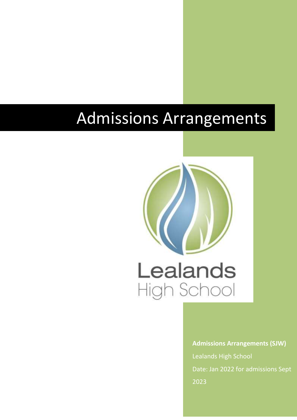# Admissions Arrangements



**Admissions Arrangements (SJW)** Lealands High School Date: Jan 2022 for admissions Sept 2023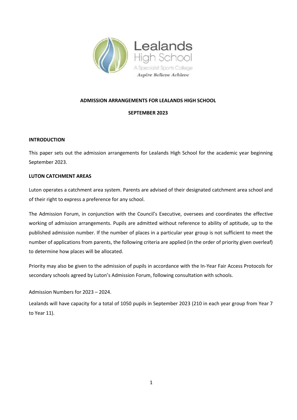

## **ADMISSION ARRANGEMENTS FOR LEALANDS HIGH SCHOOL**

## **SEPTEMBER 2023**

## **INTRODUCTION**

This paper sets out the admission arrangements for Lealands High School for the academic year beginning September 2023.

# **LUTON CATCHMENT AREAS**

Luton operates a catchment area system. Parents are advised of their designated catchment area school and of their right to express a preference for any school.

The Admission Forum, in conjunction with the Council's Executive, oversees and coordinates the effective working of admission arrangements. Pupils are admitted without reference to ability of aptitude, up to the published admission number. If the number of places in a particular year group is not sufficient to meet the number of applications from parents, the following criteria are applied (in the order of priority given overleaf) to determine how places will be allocated.

Priority may also be given to the admission of pupils in accordance with the In-Year Fair Access Protocols for secondary schools agreed by Luton's Admission Forum, following consultation with schools.

Admission Numbers for 2023 – 2024.

Lealands will have capacity for a total of 1050 pupils in September 2023 (210 in each year group from Year 7 to Year 11).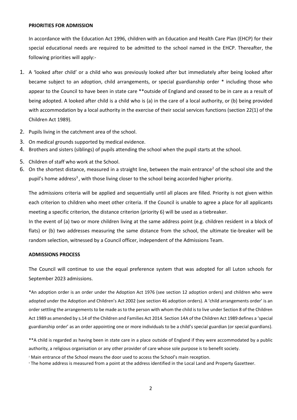#### **PRIORITIES FOR ADMISSION**

In accordance with the Education Act 1996, children with an Education and Health Care Plan (EHCP) for their special educational needs are required to be admitted to the school named in the EHCP. Thereafter, the following priorities will apply:-

- 1. A 'looked after child' or a child who was previously looked after but immediately after being looked after became subject to an adoption, child arrangements, or special guardianship order \* including those who appear to the Council to have been in state care \*\*outside of England and ceased to be in care as a result of being adopted. A looked after child is a child who is (a) in the care of a local authority, or (b) being provided with accommodation by a local authority in the exercise of their social services functions (section 22(1) of the Children Act 1989).
- 2. Pupils living in the catchment area of the school.
- 3. On medical grounds supported by medical evidence.
- 4. Brothers and sisters (siblings) of pupils attending the school when the pupil starts at the school.
- 5. Children of staff who work at the School.
- 6. On the shortest distance, measured in a straight line, between the main entrance<sup>2</sup> of the school site and the pupil's home address<sup>3</sup>, with those living closer to the school being accorded higher priority.

The admissions criteria will be applied and sequentially until all places are filled. Priority is not given within each criterion to children who meet other criteria. If the Council is unable to agree a place for all applicants meeting a specific criterion, the distance criterion (priority 6) will be used as a tiebreaker.

In the event of (a) two or more children living at the same address point (e.g. children resident in a block of flats) or (b) two addresses measuring the same distance from the school, the ultimate tie-breaker will be random selection, witnessed by a Council officer, independent of the Admissions Team.

#### **ADMISSIONS PROCESS**

The Council will continue to use the equal preference system that was adopted for all Luton schools for September 2023 admissions.

\*An adoption order is an order under the Adoption Act 1976 (see section 12 adoption orders) and children who were adopted under the Adoption and Children's Act 2002 (see section 46 adoption orders). A 'child arrangements order' is an order settling the arrangements to be made as to the person with whom the child is to live under Section 8 of the Children Act 1989 as amended by s.14 of the Children and Families Act 2014. Section 14A of the Children Act 1989 defines a 'special guardianship order' as an order appointing one or more individuals to be a child's special guardian (or special guardians).

\*\*A child is regarded as having been in state care in a place outside of England if they were accommodated by a public authority, a religious organisation or any other provider of care whose sole purpose is to benefit society.

- <sup>2</sup> Main entrance of the School means the door used to access the School's main reception.
- <sup>3</sup> The home address is measured from a point at the address identified in the Local Land and Property Gazetteer.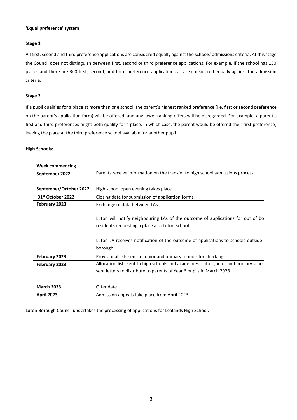#### **'Equal preference' system**

#### **Stage 1**

All first, second and third preference applications are considered equally against the schools' admissions criteria. At this stage the Council does not distinguish between first, second or third preference applications. For example, if the school has 150 places and there are 300 first, second, and third preference applications all are considered equally against the admission criteria.

#### **Stage 2**

If a pupil qualifies for a place at more than one school, the parent's highest ranked preference (i.e. first or second preference on the parent's application form) will be offered, and any lower ranking offers will be disregarded. For example, a parent's first and third preferences might both qualify for a place, in which case, the parent would be offered their first preference, leaving the place at the third preference school available for another pupil.

#### **High Schools:**

| <b>Week commencing</b> |                                                                                                                                                                                                                                    |
|------------------------|------------------------------------------------------------------------------------------------------------------------------------------------------------------------------------------------------------------------------------|
| September 2022         | Parents receive information on the transfer to high school admissions process.                                                                                                                                                     |
|                        |                                                                                                                                                                                                                                    |
| September/October 2022 | High school open evening takes place                                                                                                                                                                                               |
| 31st October 2022      | Closing date for submission of application forms.                                                                                                                                                                                  |
| February 2023          | Exchange of data between LAs:                                                                                                                                                                                                      |
|                        | Luton will notify neighbouring LAs of the outcome of applications for out of bo<br>residents requesting a place at a Luton School.<br>Luton LA receives notification of the outcome of applications to schools outside<br>borough. |
| February 2023          | Provisional lists sent to junior and primary schools for checking.                                                                                                                                                                 |
| February 2023          | Allocation lists sent to high schools and academies. Luton junior and primary school<br>sent letters to distribute to parents of Year 6 pupils in March 2023.                                                                      |
| <b>March 2023</b>      | Offer date.                                                                                                                                                                                                                        |
| <b>April 2023</b>      | Admission appeals take place from April 2023.                                                                                                                                                                                      |

Luton Borough Council undertakes the processing of applications for Lealands High School.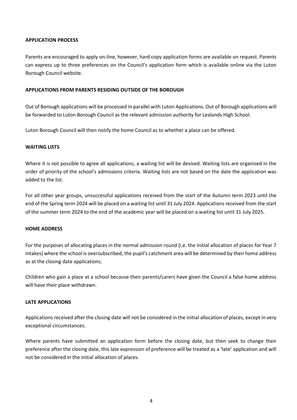# **APPLICATION PROCESS**

Parents are encouraged to apply on-line, however, hard copy application forms are available on request. Parents can express up to three preferences on the Council's application form which is available online via the Luton Borough Council website.

## **APPLICATIONS FROM PARENTS RESIDING OUTSIDE OF THE BOROUGH**

Out of Borough applications will be processed in parallel with Luton Applications. Out of Borough applications will be forwarded to Luton Borough Council as the relevant admission authority for Lealands High School.

Luton Borough Council will then notify the home Council as to whether a place can be offered.

## **WAITING LISTS**

Where it is not possible to agree all applications, a waiting list will be devised. Waiting lists are organised in the order of priority of the school's admissions criteria. Waiting lists are not based on the date the application was added to the list.

For all other year groups, unsuccessful applications received from the start of the Autumn term 2023 until the end of the Spring term 2024 will be placed on a waiting list until 31 July 2024. Applications received from the start of the summer term 2024 to the end of the academic year will be placed on a waiting list until 31 July 2025.

## **HOME ADDRESS**

For the purposes of allocating places in the normal admission round (i.e. the initial allocation of places for Year 7 intakes) where the school is oversubscribed, the pupil's catchment area will be determined by their home address as at the closing date applications.

Children who gain a place at a school because their parents/carers have given the Council a false home address will have their place withdrawn.

## **LATE APPLICATIONS**

Applications received after the closing date will not be considered in the initial allocation of places, except in very exceptional circumstances.

Where parents have submitted an application form before the closing date, but then seek to change their preference after the closing date, this late expression of preference will be treated as a 'late' application and will not be considered in the initial allocation of places.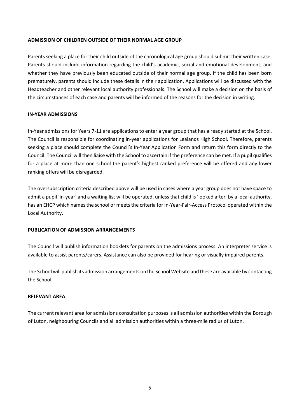## **ADMISSION OF CHILDREN OUTSIDE OF THEIR NORMAL AGE GROUP**

Parents seeking a place for their child outside of the chronological age group should submit their written case. Parents should include information regarding the child's academic, social and emotional development; and whether they have previously been educated outside of their normal age group. If the child has been born prematurely, parents should include these details in their application. Applications will be discussed with the Headteacher and other relevant local authority professionals. The School will make a decision on the basis of the circumstances of each case and parents will be informed of the reasons for the decision in writing.

## **IN-YEAR ADMISSIONS**

In-Year admissions for Years 7-11 are applications to enter a year group that has already started at the School. The Council is responsible for coordinating in-year applications for Lealands High School. Therefore, parents seeking a place should complete the Council's In-Year Application Form and return this form directly to the Council. The Council will then liaise with the School to ascertain if the preference can be met. If a pupil qualifies for a place at more than one school the parent's highest ranked preference will be offered and any lower ranking offers will be disregarded.

The oversubscription criteria described above will be used in cases where a year group does not have space to admit a pupil 'in-year' and a waiting list will be operated, unless that child is 'looked after' by a local authority, has an EHCP which names the school or meets the criteria for In-Year-Fair-Access Protocol operated within the Local Authority.

## **PUBLICATION OF ADMISSION ARRANGEMENTS**

The Council will publish information booklets for parents on the admissions process. An interpreter service is available to assist parents/carers. Assistance can also be provided for hearing or visually impaired parents.

The School will publish its admission arrangements on the School Website and these are available by contacting the School.

## **RELEVANT AREA**

The current relevant area for admissions consultation purposes is all admission authorities within the Borough of Luton, neighbouring Councils and all admission authorities within a three-mile radius of Luton.